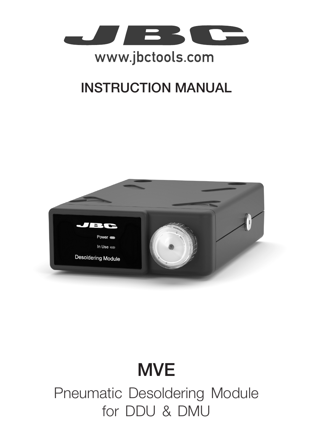

# www.jbctools.com

# INSTRUCTION MANUAL



# **MVE**

Pneumatic Desoldering Module for DDU & DMU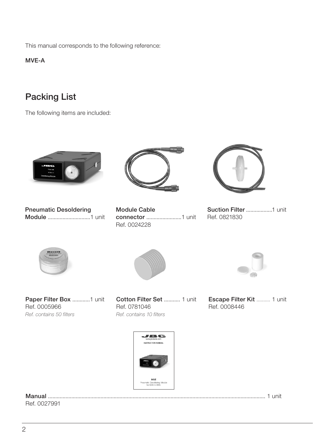This manual corresponds to the following reference:

MVE-A

### Packing List

The following items are included:



Pneumatic Desoldering Module .............................1 unit



Module Cable connector ........................1 unit Ref. 0024228



Suction Filter ..................1 unit Ref. 0821830





Paper Filter Box ............1 unit Ref. 0005966 *Ref. contains 50 filters*

Cotton Filter Set ........... 1 unit Ref. 0781046 *Ref. contains 10 filters*



Escape Filter Kit .......... 1 unit Ref. 0008446



#### Manual ..................................................................................................................................................... 1 unit Ref. 0027991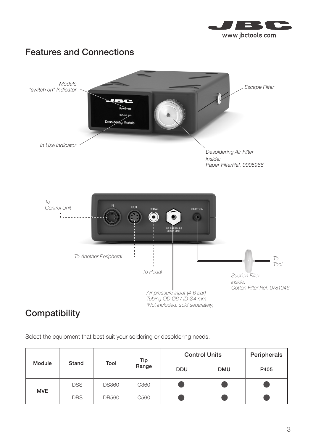



### **Compatibility**

Select the equipment that best suit your soldering or desoldering needs.

| Module     | Stand      | Tool         | Tip<br>Range     | <b>Control Units</b> |            | Peripherals |
|------------|------------|--------------|------------------|----------------------|------------|-------------|
|            |            |              |                  | <b>DDU</b>           | <b>DMU</b> | P405        |
| <b>MVE</b> | <b>DSS</b> | <b>DS360</b> | C360             |                      |            |             |
|            | <b>DRS</b> | <b>DR560</b> | C <sub>560</sub> |                      |            |             |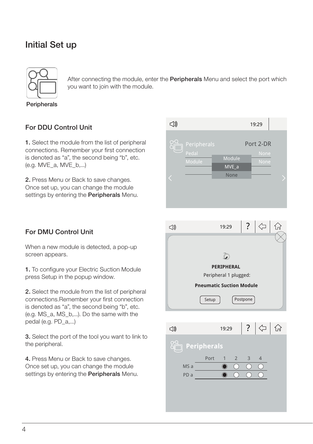### Initial Set up



 $\mathcal{A}$   $\Box$  you want to join with the module. After connecting the module, enter the **Peripherals** Menu and select the port which

Peripherals

#### For DDU Control Unit

**1.** Select the module from the list of peripheral echnocleared as "a", the second being "b", etc. is denoted as "a", the se<br>(e.g. MVE\_a, MVE\_b,...) connections. Remember your first connection

> 2. Press Menu or Back to save changes. Once set up, you can change the module settings by entering the **Peripherals** Menu.



### For DMU Control Unit

When a new module is detected, a pop-up screen appears.

> 1. To configure your Electric Suction Module press Setup in the popup window.

connections.Remember your first connection ? 2. Select the module from the list of peripheral is denoted as "a", the second being "b", etc. (e.g. MS\_a, MS\_b,...). Do the same with the pedal (e.g. PD\_a,...)

the peripheral. 3. Select the port of the tool you want to link to

> 4. Press Menu or Back to save changes. Once set up, you can change the module settings by entering the **Peripherals** Menu.



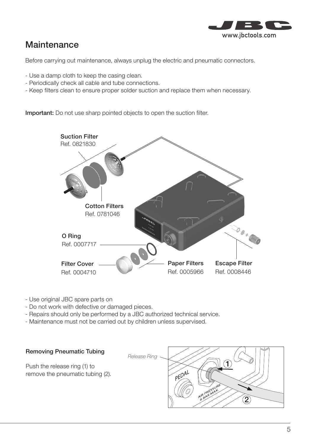

### **Maintenance**

Before carrying out maintenance, always unplug the electric and pneumatic connectors.

- Use a damp cloth to keep the casing clean.
- Periodically check all cable and tube connections.
- Keep filters clean to ensure proper solder suction and replace them when necessary.

Important: Do not use sharp pointed objects to open the suction filter.



- Use original JBC spare parts on
- Do not work with defective or damaged pieces.
- Repairs should only be performed by a JBC authorized technical service.
- Maintenance must not be carried out by children unless supervised.



Push the release ring (1) to remove the pneumatic tubing (2).

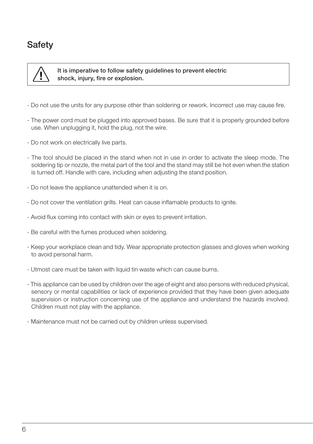### **Safety**



 It is imperative to follow safety guidelines to prevent electric shock, injury, fire or explosion.

- Do not use the units for any purpose other than soldering or rework. Incorrect use may cause fire.
- The power cord must be plugged into approved bases. Be sure that it is properly grounded before use. When unplugging it, hold the plug, not the wire.
- Do not work on electrically live parts.
- The tool should be placed in the stand when not in use in order to activate the sleep mode. The soldering tip or nozzle, the metal part of the tool and the stand may still be hot even when the station is turned off. Handle with care, including when adjusting the stand position.
- Do not leave the appliance unattended when it is on.
- Do not cover the ventilation grills. Heat can cause inflamable products to ignite.
- Avoid flux coming into contact with skin or eyes to prevent irritation.
- Be careful with the fumes produced when soldering.
- Keep your workplace clean and tidy. Wear appropriate protection glasses and gloves when working to avoid personal harm.
- Utmost care must be taken with liquid tin waste which can cause burns.
- This appliance can be used by children over the age of eight and also persons with reduced physical, sensory or mental capabilities or lack of experience provided that they have been given adequate supervision or instruction concerning use of the appliance and understand the hazards involved. Children must not play with the appliance.
- Maintenance must not be carried out by children unless supervised.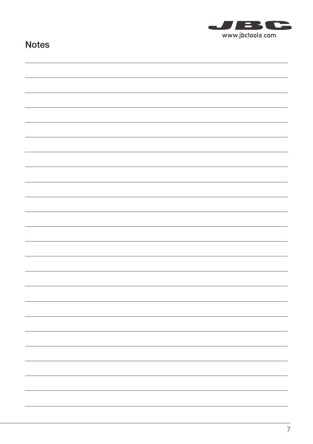

### Notes